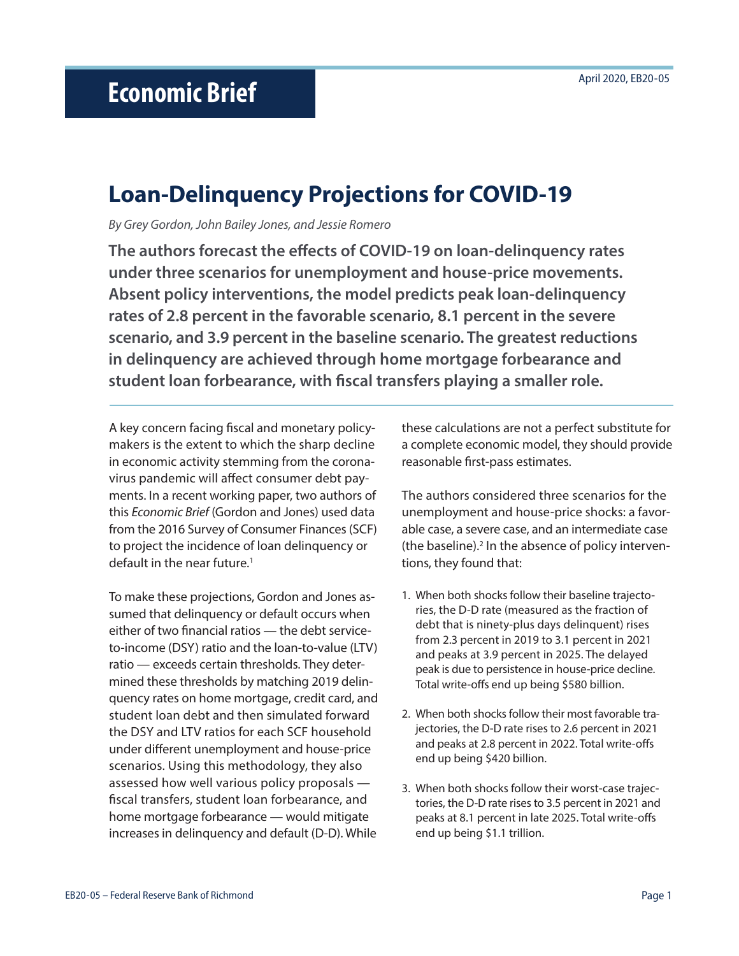# **Loan-Delinquency Projections for COVID-19**

*By Grey Gordon, John Bailey Jones, and Jessie Romero*

**The authors forecast the effects of COVID-19 on loan-delinquency rates under three scenarios for unemployment and house-price movements. Absent policy interventions, the model predicts peak loan-delinquency rates of 2.8 percent in the favorable scenario, 8.1 percent in the severe scenario, and 3.9 percent in the baseline scenario. The greatest reductions in delinquency are achieved through home mortgage forbearance and student loan forbearance, with fiscal transfers playing a smaller role.**

A key concern facing fiscal and monetary policymakers is the extent to which the sharp decline in economic activity stemming from the coronavirus pandemic will affect consumer debt payments. In a recent working paper, two authors of this *Economic Brief* (Gordon and Jones) used data from the 2016 Survey of Consumer Finances (SCF) to project the incidence of loan delinquency or default in the near future.<sup>1</sup>

To make these projections, Gordon and Jones assumed that delinquency or default occurs when either of two financial ratios — the debt serviceto-income (DSY) ratio and the loan-to-value (LTV) ratio — exceeds certain thresholds. They determined these thresholds by matching 2019 delinquency rates on home mortgage, credit card, and student loan debt and then simulated forward the DSY and LTV ratios for each SCF household under different unemployment and house-price scenarios. Using this methodology, they also assessed how well various policy proposals fiscal transfers, student loan forbearance, and home mortgage forbearance — would mitigate increases in delinquency and default (D-D). While

these calculations are not a perfect substitute for a complete economic model, they should provide reasonable first-pass estimates.

The authors considered three scenarios for the unemployment and house-price shocks: a favorable case, a severe case, and an intermediate case (the baseline).<sup>2</sup> In the absence of policy interventions, they found that:

- 1. When both shocks follow their baseline trajectories, the D-D rate (measured as the fraction of debt that is ninety-plus days delinquent) rises from 2.3 percent in 2019 to 3.1 percent in 2021 and peaks at 3.9 percent in 2025. The delayed peak is due to persistence in house-price decline. Total write-offs end up being \$580 billion.
- 2. When both shocks follow their most favorable trajectories, the D-D rate rises to 2.6 percent in 2021 and peaks at 2.8 percent in 2022. Total write-offs end up being \$420 billion.
- 3. When both shocks follow their worst-case trajectories, the D-D rate rises to 3.5 percent in 2021 and peaks at 8.1 percent in late 2025. Total write-offs end up being \$1.1 trillion.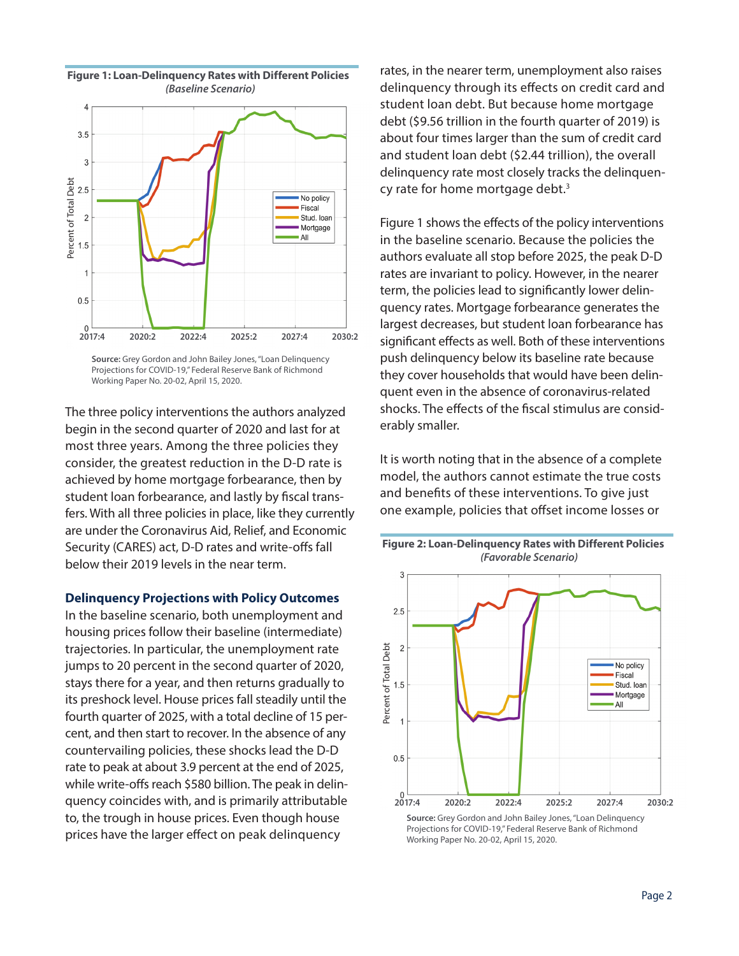

**Source:** Grey Gordon and John Bailey Jones, "Loan Delinquency Projections for COVID-19," Federal Reserve Bank of Richmond Working Paper No. 20-02, April 15, 2020.

The three policy interventions the authors analyzed begin in the second quarter of 2020 and last for at most three years. Among the three policies they consider, the greatest reduction in the D-D rate is achieved by home mortgage forbearance, then by student loan forbearance, and lastly by fiscal transfers. With all three policies in place, like they currently are under the Coronavirus Aid, Relief, and Economic Security (CARES) act, D-D rates and write-offs fall below their 2019 levels in the near term.

#### **Delinquency Projections with Policy Outcomes**

In the baseline scenario, both unemployment and housing prices follow their baseline (intermediate) trajectories. In particular, the unemployment rate jumps to 20 percent in the second quarter of 2020, stays there for a year, and then returns gradually to its preshock level. House prices fall steadily until the fourth quarter of 2025, with a total decline of 15 percent, and then start to recover. In the absence of any countervailing policies, these shocks lead the D-D rate to peak at about 3.9 percent at the end of 2025, while write-offs reach \$580 billion. The peak in delinquency coincides with, and is primarily attributable to, the trough in house prices. Even though house prices have the larger effect on peak delinquency

rates, in the nearer term, unemployment also raises delinquency through its effects on credit card and student loan debt. But because home mortgage debt (\$9.56 trillion in the fourth quarter of 2019) is about four times larger than the sum of credit card and student loan debt (\$2.44 trillion), the overall delinquency rate most closely tracks the delinquency rate for home mortgage debt.3

Figure 1 shows the effects of the policy interventions in the baseline scenario. Because the policies the authors evaluate all stop before 2025, the peak D-D rates are invariant to policy. However, in the nearer term, the policies lead to significantly lower delinquency rates. Mortgage forbearance generates the largest decreases, but student loan forbearance has significant effects as well. Both of these interventions push delinquency below its baseline rate because they cover households that would have been delinquent even in the absence of coronavirus-related shocks. The effects of the fiscal stimulus are considerably smaller.

It is worth noting that in the absence of a complete model, the authors cannot estimate the true costs and benefits of these interventions. To give just one example, policies that offset income losses or



**Figure 2: Loan-Delinquency Rates with Different Policies** *(Favorable Scenario)*

**Source:** Grey Gordon and John Bailey Jones, "Loan Delinquency Projections for COVID-19," Federal Reserve Bank of Richmond Working Paper No. 20-02, April 15, 2020.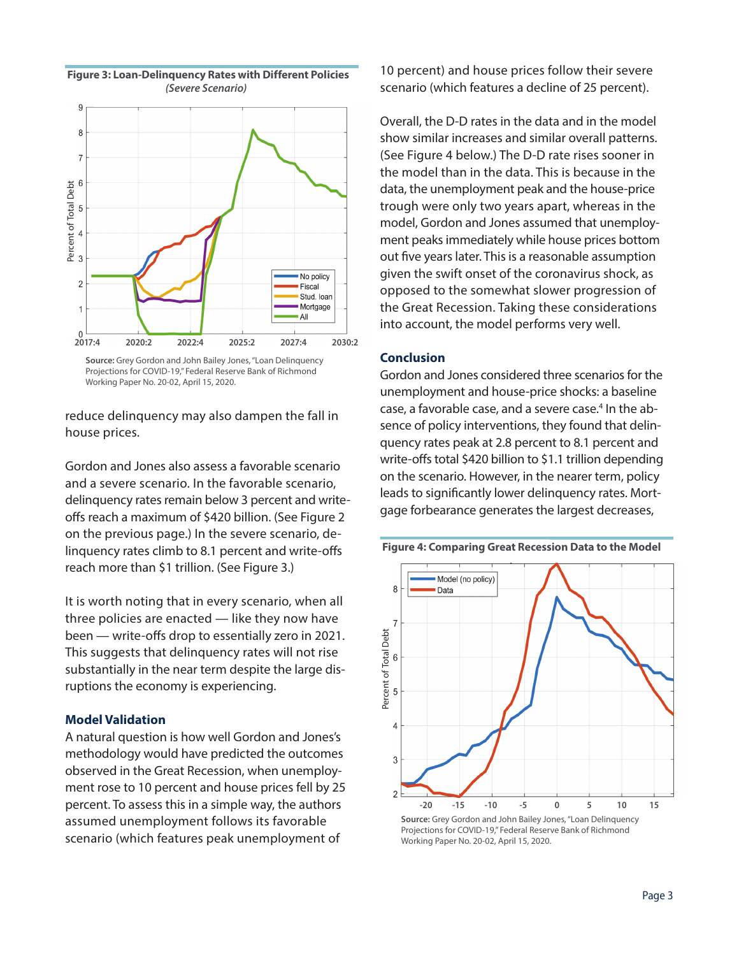



Projections for COVID-19," Federal Reserve Bank of Richmond Working Paper No. 20-02, April 15, 2020.

reduce delinquency may also dampen the fall in house prices.

Gordon and Jones also assess a favorable scenario and a severe scenario. In the favorable scenario, delinquency rates remain below 3 percent and writeoffs reach a maximum of \$420 billion. (See Figure 2 on the previous page.) In the severe scenario, delinquency rates climb to 8.1 percent and write-offs reach more than \$1 trillion. (See Figure 3.)

It is worth noting that in every scenario, when all three policies are enacted — like they now have been — write-offs drop to essentially zero in 2021. This suggests that delinquency rates will not rise substantially in the near term despite the large disruptions the economy is experiencing.

## **Model Validation**

A natural question is how well Gordon and Jones's methodology would have predicted the outcomes observed in the Great Recession, when unemployment rose to 10 percent and house prices fell by 25 percent. To assess this in a simple way, the authors assumed unemployment follows its favorable scenario (which features peak unemployment of

10 percent) and house prices follow their severe scenario (which features a decline of 25 percent).

Overall, the D-D rates in the data and in the model show similar increases and similar overall patterns. (See Figure 4 below.) The D-D rate rises sooner in the model than in the data. This is because in the data, the unemployment peak and the house-price trough were only two years apart, whereas in the model, Gordon and Jones assumed that unemployment peaks immediately while house prices bottom out five years later. This is a reasonable assumption given the swift onset of the coronavirus shock, as opposed to the somewhat slower progression of the Great Recession. Taking these considerations into account, the model performs very well.

## **Conclusion**

Gordon and Jones considered three scenarios for the unemployment and house-price shocks: a baseline case, a favorable case, and a severe case.<sup>4</sup> In the absence of policy interventions, they found that delinquency rates peak at 2.8 percent to 8.1 percent and write-offs total \$420 billion to \$1.1 trillion depending on the scenario. However, in the nearer term, policy leads to significantly lower delinquency rates. Mortgage forbearance generates the largest decreases,